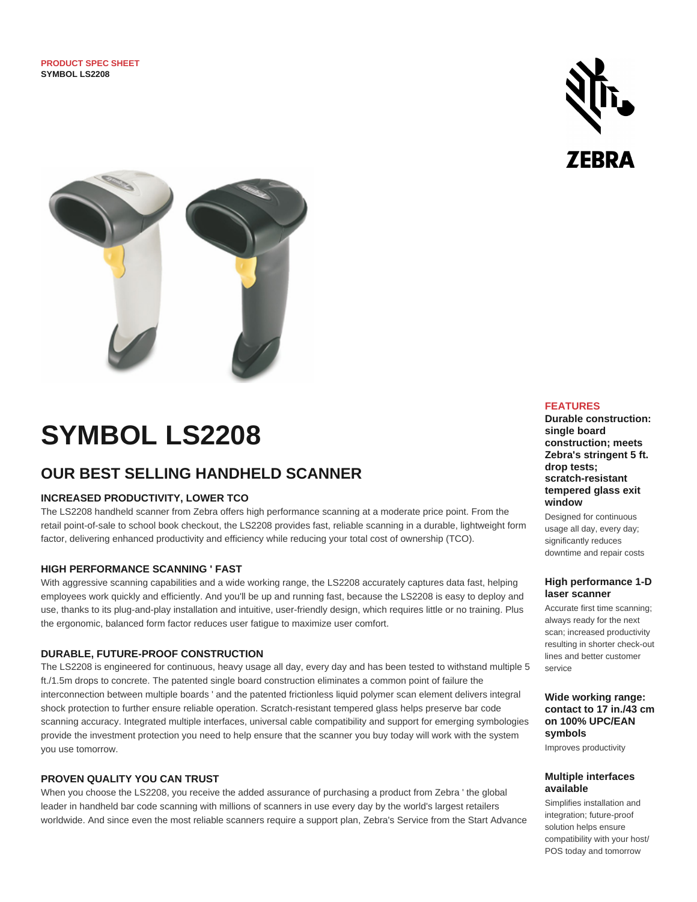



# **SYMBOL LS2208**

## **OUR BEST SELLING HANDHELD SCANNER**

#### **INCREASED PRODUCTIVITY, LOWER TCO**

The LS2208 handheld scanner from Zebra offers high performance scanning at a moderate price point. From the retail point-of-sale to school book checkout, the LS2208 provides fast, reliable scanning in a durable, lightweight form factor, delivering enhanced productivity and efficiency while reducing your total cost of ownership (TCO).

#### **HIGH PERFORMANCE SCANNING ' FAST**

With aggressive scanning capabilities and a wide working range, the LS2208 accurately captures data fast, helping employees work quickly and efficiently. And you'll be up and running fast, because the LS2208 is easy to deploy and use, thanks to its plug-and-play installation and intuitive, user-friendly design, which requires little or no training. Plus the ergonomic, balanced form factor reduces user fatigue to maximize user comfort.

#### **DURABLE, FUTURE-PROOF CONSTRUCTION**

The LS2208 is engineered for continuous, heavy usage all day, every day and has been tested to withstand multiple 5 ft./1.5m drops to concrete. The patented single board construction eliminates a common point of failure the interconnection between multiple boards ' and the patented frictionless liquid polymer scan element delivers integral shock protection to further ensure reliable operation. Scratch-resistant tempered glass helps preserve bar code scanning accuracy. Integrated multiple interfaces, universal cable compatibility and support for emerging symbologies provide the investment protection you need to help ensure that the scanner you buy today will work with the system you use tomorrow.

#### **PROVEN QUALITY YOU CAN TRUST**

When you choose the LS2208, you receive the added assurance of purchasing a product from Zebra ' the global leader in handheld bar code scanning with millions of scanners in use every day by the world's largest retailers worldwide. And since even the most reliable scanners require a support plan, Zebra's Service from the Start Advance

#### **FEATURES**

**Durable construction: single board construction; meets Zebra's stringent 5 ft. drop tests; scratch-resistant tempered glass exit window**

Designed for continuous usage all day, every day; significantly reduces downtime and repair costs

#### **High performance 1-D laser scanner**

Accurate first time scanning; always ready for the next scan; increased productivity resulting in shorter check-out lines and better customer service

#### **Wide working range: contact to 17 in./43 cm on 100% UPC/EAN symbols**

Improves productivity

#### **Multiple interfaces available**

Simplifies installation and integration; future-proof solution helps ensure compatibility with your host/ POS today and tomorrow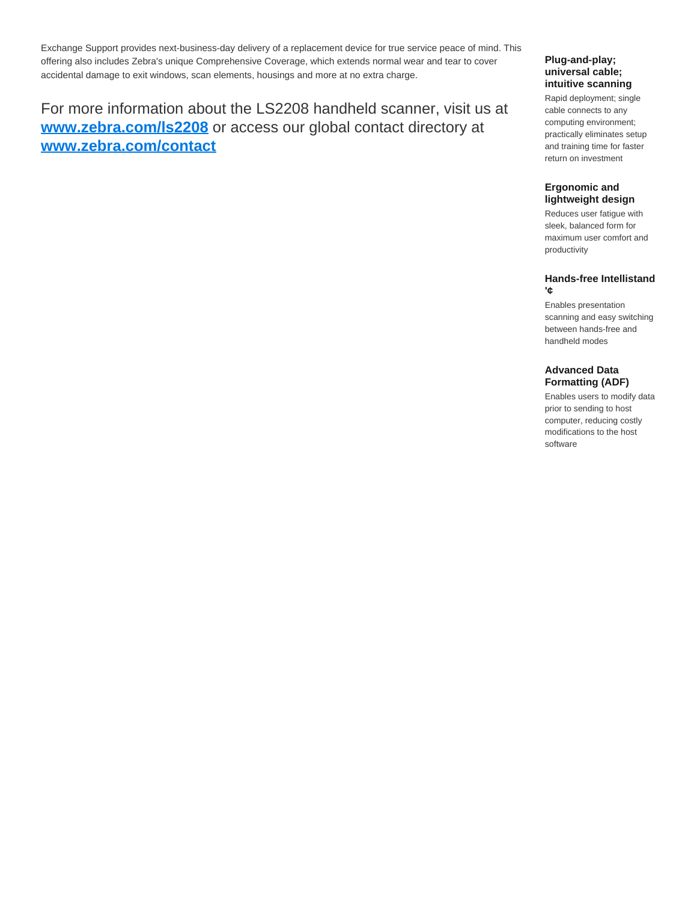Exchange Support provides next-business-day delivery of a replacement device for true service peace of mind. This offering also includes Zebra's unique Comprehensive Coverage, which extends normal wear and tear to cover accidental damage to exit windows, scan elements, housings and more at no extra charge.

## For more information about the LS2208 handheld scanner, visit us at **[www.zebra.com/ls2208](http://www.zebra.com/ls2208)** or access our global contact directory at **[www.zebra.com/contact](http://www.zebra.com/contact)**

#### **Plug-and-play; universal cable; intuitive scanning**

Rapid deployment; single cable connects to any computing environment; practically eliminates setup and training time for faster return on investment

#### **Ergonomic and lightweight design**

Reduces user fatigue with sleek, balanced form for maximum user comfort and productivity

#### **Hands-free Intellistand '¢**

Enables presentation scanning and easy switching between hands-free and handheld modes

#### **Advanced Data Formatting (ADF)**

Enables users to modify data prior to sending to host computer, reducing costly modifications to the host software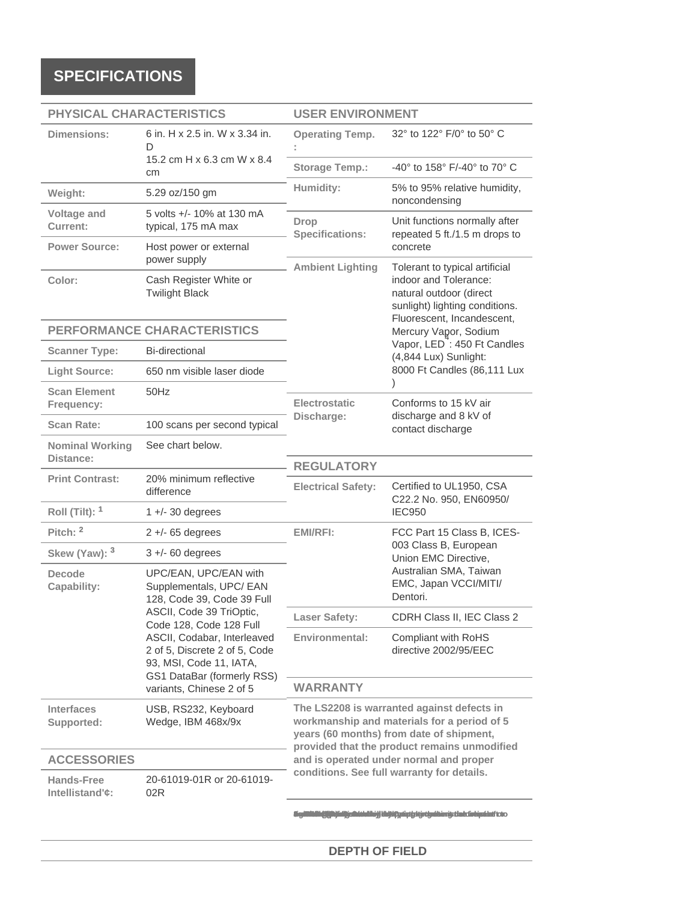## **SPECIFICATIONS**

| PHYSICAL CHARACTERISTICS             |                                                                                                                                                                                                                                                                                            | <b>USER ENVIRONMENT</b>                                                                                                                                                               |                                                                                                                  |  |
|--------------------------------------|--------------------------------------------------------------------------------------------------------------------------------------------------------------------------------------------------------------------------------------------------------------------------------------------|---------------------------------------------------------------------------------------------------------------------------------------------------------------------------------------|------------------------------------------------------------------------------------------------------------------|--|
| Dimensions:                          | 6 in. H x 2.5 in. W x 3.34 in.<br>D                                                                                                                                                                                                                                                        | <b>Operating Temp.</b>                                                                                                                                                                | 32° to 122° F/0° to 50° C                                                                                        |  |
|                                      | 15.2 cm H x 6.3 cm W x 8.4<br>cm                                                                                                                                                                                                                                                           | <b>Storage Temp.:</b>                                                                                                                                                                 | -40° to 158° F/-40° to 70° C                                                                                     |  |
| Weight:                              | 5.29 oz/150 gm                                                                                                                                                                                                                                                                             | Humidity:                                                                                                                                                                             | 5% to 95% relative humidity,<br>noncondensing                                                                    |  |
| Voltage and<br>Current:              | 5 volts +/- 10% at 130 mA<br>typical, 175 mA max<br>Host power or external<br>power supply                                                                                                                                                                                                 | <b>Drop</b><br><b>Specifications:</b>                                                                                                                                                 | Unit functions normally after<br>repeated 5 ft./1.5 m drops to                                                   |  |
| <b>Power Source:</b>                 |                                                                                                                                                                                                                                                                                            |                                                                                                                                                                                       | concrete<br>Tolerant to typical artificial                                                                       |  |
| Color:                               | Cash Register White or<br><b>Twilight Black</b>                                                                                                                                                                                                                                            | <b>Ambient Lighting</b>                                                                                                                                                               | indoor and Tolerance:<br>natural outdoor (direct<br>sunlight) lighting conditions.<br>Fluorescent, Incandescent, |  |
| PERFORMANCE CHARACTERISTICS          |                                                                                                                                                                                                                                                                                            |                                                                                                                                                                                       | Mercury Vapor, Sodium                                                                                            |  |
| <b>Scanner Type:</b>                 | <b>Bi-directional</b>                                                                                                                                                                                                                                                                      | Vapor, LED <sup>7</sup> : 450 Ft Candles<br>(4,844 Lux) Sunlight:<br>8000 Ft Candles (86,111 Lux                                                                                      |                                                                                                                  |  |
| <b>Light Source:</b>                 | 650 nm visible laser diode                                                                                                                                                                                                                                                                 |                                                                                                                                                                                       |                                                                                                                  |  |
| <b>Scan Element</b><br>Frequency:    | 50Hz                                                                                                                                                                                                                                                                                       | <b>Electrostatic</b><br>Discharge:                                                                                                                                                    | Conforms to 15 kV air<br>discharge and 8 kV of<br>contact discharge                                              |  |
| <b>Scan Rate:</b>                    | 100 scans per second typical                                                                                                                                                                                                                                                               |                                                                                                                                                                                       |                                                                                                                  |  |
| <b>Nominal Working</b><br>Distance:  | See chart below.                                                                                                                                                                                                                                                                           | <b>REGULATORY</b>                                                                                                                                                                     |                                                                                                                  |  |
| <b>Print Contrast:</b>               | 20% minimum reflective<br>difference                                                                                                                                                                                                                                                       | Certified to UL1950, CSA<br><b>Electrical Safety:</b><br>C22.2 No. 950, EN60950/                                                                                                      |                                                                                                                  |  |
| Roll (Tilt): $1$                     | $1 +$ /- 30 degrees                                                                                                                                                                                                                                                                        |                                                                                                                                                                                       | <b>IEC950</b>                                                                                                    |  |
| Pitch: 2                             | $2 +$ -65 degrees                                                                                                                                                                                                                                                                          | <b>EMI/RFI:</b>                                                                                                                                                                       | FCC Part 15 Class B, ICES-                                                                                       |  |
| Skew (Yaw): 3                        | $3 +$ -60 degrees                                                                                                                                                                                                                                                                          |                                                                                                                                                                                       | 003 Class B, European<br>Union EMC Directive,                                                                    |  |
| <b>Decode</b><br>Capability:         | UPC/EAN, UPC/EAN with<br>Supplementals, UPC/ EAN<br>128, Code 39, Code 39 Full<br>ASCII, Code 39 TriOptic,<br>Code 128, Code 128 Full<br>ASCII, Codabar, Interleaved<br>2 of 5, Discrete 2 of 5, Code<br>93, MSI, Code 11, IATA,<br>GS1 DataBar (formerly RSS)<br>variants, Chinese 2 of 5 |                                                                                                                                                                                       | Australian SMA, Taiwan<br>EMC, Japan VCCI/MITI/<br>Dentori.                                                      |  |
|                                      |                                                                                                                                                                                                                                                                                            | <b>Laser Safety:</b>                                                                                                                                                                  | CDRH Class II, IEC Class 2                                                                                       |  |
|                                      |                                                                                                                                                                                                                                                                                            | Environmental:                                                                                                                                                                        | Compliant with RoHS<br>directive 2002/95/EEC                                                                     |  |
|                                      |                                                                                                                                                                                                                                                                                            | <b>WARRANTY</b>                                                                                                                                                                       |                                                                                                                  |  |
| <b>Interfaces</b><br>Supported:      | USB, RS232, Keyboard<br>Wedge, IBM 468x/9x                                                                                                                                                                                                                                                 | The LS2208 is warranted against defects in<br>workmanship and materials for a period of 5<br>years (60 months) from date of shipment,<br>provided that the product remains unmodified |                                                                                                                  |  |
| <b>ACCESSORIES</b>                   |                                                                                                                                                                                                                                                                                            | and is operated under normal and proper                                                                                                                                               |                                                                                                                  |  |
| <b>Hands-Free</b><br>Intellistand'¢: | 20-61019-01R or 20-61019-<br>02R                                                                                                                                                                                                                                                           | conditions. See full warranty for details.                                                                                                                                            |                                                                                                                  |  |
|                                      |                                                                                                                                                                                                                                                                                            |                                                                                                                                                                                       |                                                                                                                  |  |